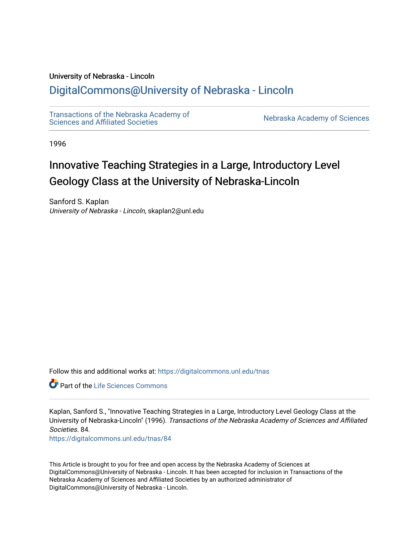#### University of Nebraska - Lincoln

## [DigitalCommons@University of Nebraska - Lincoln](https://digitalcommons.unl.edu/)

[Transactions of the Nebraska Academy of](https://digitalcommons.unl.edu/tnas)  Transactions of the Nebraska Academy of Sciences<br>Sciences and Affiliated Societies

1996

# Innovative Teaching Strategies in a Large, Introductory Level Geology Class at the University of Nebraska-Lincoln

Sanford S. Kaplan University of Nebraska - Lincoln, skaplan2@unl.edu

Follow this and additional works at: [https://digitalcommons.unl.edu/tnas](https://digitalcommons.unl.edu/tnas?utm_source=digitalcommons.unl.edu%2Ftnas%2F84&utm_medium=PDF&utm_campaign=PDFCoverPages) 

Part of the [Life Sciences Commons](http://network.bepress.com/hgg/discipline/1016?utm_source=digitalcommons.unl.edu%2Ftnas%2F84&utm_medium=PDF&utm_campaign=PDFCoverPages) 

Kaplan, Sanford S., "Innovative Teaching Strategies in a Large, Introductory Level Geology Class at the University of Nebraska-Lincoln" (1996). Transactions of the Nebraska Academy of Sciences and Affiliated Societies. 84.

[https://digitalcommons.unl.edu/tnas/84](https://digitalcommons.unl.edu/tnas/84?utm_source=digitalcommons.unl.edu%2Ftnas%2F84&utm_medium=PDF&utm_campaign=PDFCoverPages)

This Article is brought to you for free and open access by the Nebraska Academy of Sciences at DigitalCommons@University of Nebraska - Lincoln. It has been accepted for inclusion in Transactions of the Nebraska Academy of Sciences and Affiliated Societies by an authorized administrator of DigitalCommons@University of Nebraska - Lincoln.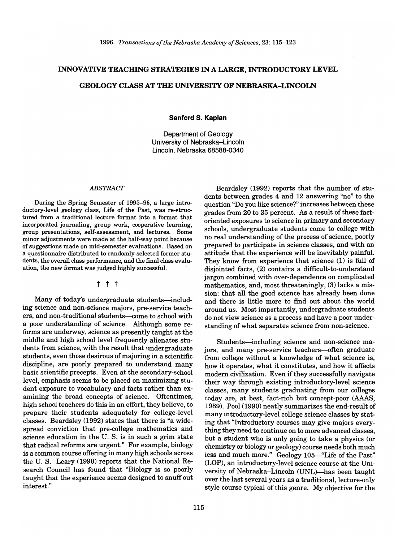### INNOVATIVE TEACHING STRATEGIES IN A LARGE, INTRODUCTORY LEVEL

#### GEOLOGY CLASS AT THE UNIVERSITY OF NEBRASKA-LINCOLN

**Sanford S. Kaplan** 

Department of Geology University of Nebraska-Lincoln Lincoln, Nebraska 68588-0340

#### *ABSTRACT*

During the Spring Semester of 1995-96, a large introductory-level geology class, Life of the Past, was re-structured from a traditional lecture format into a format that incorporated journaling, group work, cooperative learning, group presentations, self-assessment, and lectures. Some minor adjustments were made at the half-way point because of suggestions made on mid-semester evaluations. Based on a questionnaire distributed to randomly-selected former students, the overall class performance, and the final class evaluation, the new format was judged highly successful.

t t t

Many of today's undergraduate students-including science and non-science majors, pre-service teachers, and non-traditional students-come to school with a poor understanding of science. Although some reforms are underway, science as presently taught at the middle and high school level frequently alienates students from science, with the result that undergraduate students, even those desirous of majoring in a scientific discipline, are poorly prepared to understand many basic scientific precepts. Even at the secondary-school level, emphasis seems to be placed on maximizing student exposure to vocabulary and facts rather than examining the broad concepts of science. Oftentimes, high school teachers do this in an effort, they believe, to prepare their students adequately for college-level classes. Beardsley (1992) states that there is "a widespread conviction that pre-college mathematics and science education in the U. S. is in such a grim state that radical reforms are urgent." For example, biology is a common course offering in many high schools across the U. S. Leary (1990) reports that the National Research Council has found that "Biology is so poorly taught that the experience seems designed to snuff out interest."

Beardsley (1992) reports that the number of students between grades 4 and 12 answering "no" to the question "Do you like science?" increases between these grades from 20 to 35 percent. As a result of these factoriented exposures to science in primary and secondary schools, undergraduate students come to college with no real understanding of the process of science, poorly prepared to participate in science classes, and with an attitude that the experience will be inevitably painful. They know from experience that science (1) is full of disjointed facts, (2) contains a difficult-to-understand jargon combined with over-dependence on complicated mathematics, and, most threateningly, (3) lacks a mission: that all the good science has already been done and there is little more to find out about the world around us. Most importantly, undergraduate students do not view science as a process and have a poor understanding of what separates science from non-science.

Students-including science and non-science majors, and many pre-service teachers-often graduate from college without a knowledge of what science is, how it operates, what it constitutes, and how it affects modern civilization. Even if they successfully navigate their way through existing introductory-level science classes, many students graduating from our colleges today are, at best, fact-rich but concept-poor (AAAS, 1989). Pool (1990) neatly summarizes the end-result of many introductory-level college science classes by stating that "Introductory courses may give majors everything they need to continue on to more advanced classes, but a student who is only going to take a physics (or chemistry or biology or geology) course needs both much less and much more." Geology 105-"Life of the Past" (LOP), an introductory-level science course at the University of Nebraska-Lincoln (UNL)-has been taught over the last several years as a traditional, lecture-only style course typical of this genre. My objective for the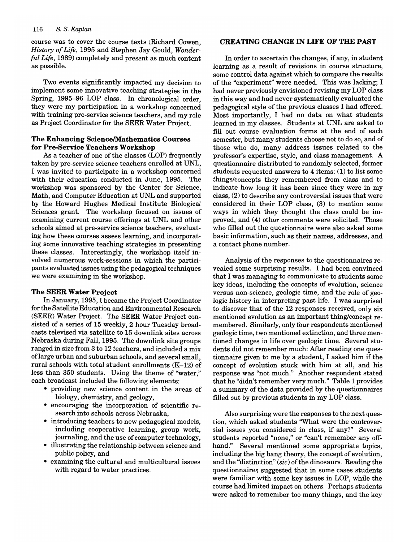course was to cover the course texts (Richard Cowen, *History of Life,* 1995 and Stephen Jay Gould, *Wonderful Life,* 1989) completely and present as much content as possible.

Two events significantly impacted my decision to implement some innovative teaching strategies in the Spring, 1995-96 LOP class. In chronological order, they were my participation in a workshop concerned with training pre-service science teachers, and my role as Project Coordinator for the SEER Water Project.

#### The Enhancing SciencelMathematics Courses for Pre-Service Teachers Workshop

As a teacher of one of the classes (LOP) frequently taken by pre-service science teachers enrolled at UNL, I was invited to participate in a workshop concerned with their education conducted in June, 1995. The workshop was sponsored by the Center for Science, Math, and Computer Education at UNL and supported by the Howard Hughes Medical Institute Biological Sciences grant. The workshop focused on issues of examining current course offerings at UNL and other schools aimed at pre-service science teachers, evaluating how these courses assess learning, and incorporating some innovative teaching strategies in presenting these classes. Interestingly, the workshop itself involved numerous work-sessions in which the participants evaluated issues using the pedagogical techniques we were examining in the workshop.

#### The SEER Water Project

In January, 1995, I became the Project Coordinator for the Satellite Education and Environmental Research (SEER) Water Project. The SEER Water Project consisted of a series of 15 weekly, 2 hour Tuesday broadcasts televised via satellite to 15 downlink sites across Nebraska during Fall, 1995. The downlink site groups ranged in size from 3 to 12 teachers, and included a mix oflarge urban and suburban schools, and several small, rural schools with total student enrollments (K-12) of less than 350 students. Using the theme of "water," each broadcast included the following elements:

- providing new science content in the areas of biology, chemistry, and geology,
- encouraging the incorporation of scientific research into schools across Nebraska,
- introducing teachers to new pedagogical models, including cooperative learning, group work, journaling, and the use of computer technology,
- illustrating the relationship between science and public policy, and
- examining the cultural and multicultural issues with regard to water practices.

#### CREATING CHANGE IN LIFE OF THE PAST

In order to ascertain the changes, if any, in student learning as a result of revisions in course structure, some control data against which to compare the results of the "experiment" were needed. This was lacking; I had never previously envisioned revising my LOP class in this way and had never systematically evaluated the pedagogical style of the previous classes I had offered. Most importantly, I had no data on what students learned in my classes. Students at UNL are asked to fill out course evaluation forms at the end of each semester, but many students choose not to do so, and of those who do, many address issues related to the professor's expertise, style, and class management. A questionnaire distributed to randomly selected, former students requested answers to 4 items: (1) to list some things/concepts they remembered from class and to indicate how long it has been since they were in my class, (2) to describe any controversial issues that were considered in their LOP class, (3) to mention some ways in which they thought the class could be improved, and (4) other comments were solicited. Those who filled out the questionnaire were also asked some basic information, such as their names, addresses, and a contact phone number.

Analysis of the responses to the questionnaires revealed some surprising results. I had been convinced that I was managing to communicate to students some key ideas, including the concepts of evolution, science versus non-science, geologic time, and the role of geologic history in interpreting past life. I was surprised to discover that of the 12 responses received, only six mentioned evolution as an important thing/concept remembered. Similarly, only four respondents mentioned geologic time, two mentioned extinction, and three mentioned changes in life over geologic time. Several students did not remember much: After reading one questionnaire given to me by a student, I asked him if the concept of evolution stuck with him at all, and his response was "not much." Another respondent stated that he "didn't remember very much." Table 1 provides a summary of the data provided by the questionnaires filled out by previous students in my LOP class.

Also surprising were the responses to the next question, which asked students "What were the controversial issues you considered in class, if any?" Several students reported "none," or "can't remember any offhand." Several mentioned some appropriate topics, including the big bang theory, the concept of evolution, and the "distinction" *(sic)* of the dinosaurs. Reading the questionnaires suggested that in some cases students were familiar with some key issues in LOP, while the course had limited impact on others. Perhaps students were asked to remember too many things, and the key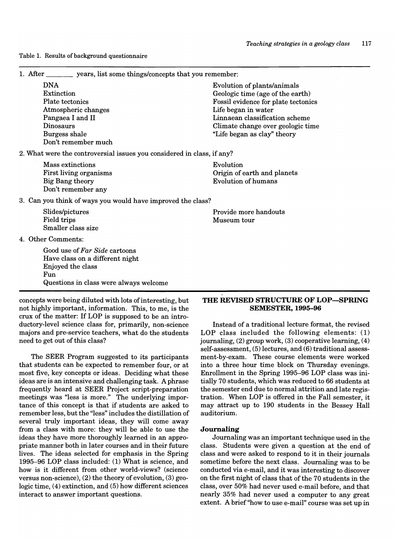Table 1. Results of background questionnaire

1. After vears, list some things/concepts that you remember:

DNA Evolution of plants/animals Extinction Geologic time (age of the earth) Plate tectonics Atmospheric changes Pangaea I and II Dinosaurs Burgess shale Don't remember much

2. What were the controversial issues you considered in class, if any?

| Mass extinctions<br>First living organisms<br>Big Bang theory<br>Don't remember any | Evolution<br>Origin of earth and planets<br>Evolution of humans |
|-------------------------------------------------------------------------------------|-----------------------------------------------------------------|
|                                                                                     |                                                                 |

3. Can you think of ways you would have improved the class?

Field trips Museum tour Smaller class size

4. Other Comments:

Good use of *Far Side* cartoons Have class on a different night Enjoyed the class Fun Questions in class were always welcome

concepts were being diluted with lots of interesting, but not highly important, information. This, to me, is the crux of the matter: If LOP is supposed to be an introductory-level science class for, primarily, non-science majors and pre-service teachers, what do the students need to get out of this class?

The SEER Program suggested to its participants that students can be expected to remember four, or at most five, key concepts or ideas. Deciding what these ideas are is an intensive and challenging task. A phrase frequently heard at SEER Project script-preparation equency from a at sense a reject stript proparation. the different of this concept is that if students are asked to remember less, but the "less" includes the distillation of several truly important ideas, they will come away from a class with more: they will be able to use the ideas they have more thoroughly learned in an appropriate manner both in later courses and in their future lives. The ideas selected for emphasis in the Spring 1995-96 LOP class included: (1) What is science, and how is it different from other world-views? (science versus non-science), (2) the theory of evolution, (3) geologic time, (4) extinction, and (5) how different sciences interact to answer important questions.

THE REVISED STRUCTURE OF LOP-SPRING SEMESTER, 1995-96

Instead of a traditional lecture format, the revised LOP class included the following elements: (1) journaling, (2) group work, (3) cooperative learning, (4) self-assessment, (5) lectures, and (6) traditional assessment-by-exam. These course elements were worked into a three hour time block on Thursday evenings. Enrollment in the Spring 1995-96 LOP class was initially 70 students, which was reduced to 66 students at the semester end due to normal attrition and late registration. When LOP is offered in the Fall semester, it may attract up to 190 students in the Bessey Hall auditorium.

#### Journaling

Journaling was an important technique used in the class. Students were given a question at the end of class and were asked to respond to it in their journals sometime before the next class. Journaling was to be conducted via e-mail, and it was interesting to discover on the first night of class that of the 70 students in the class, over 50% had never used e-mail before, and that nearly 35% had never used a computer to any great extent. A brief "how to use e-mail" course was set up in

# Slides/pictures and the more handouts and the provide more handouts and the set of the more handouts of the more handouts of the more handouts of the more handouts of the more handouts of the more handouts.

Fossil evidence for plate tectonics

Linnaean classification scheme Climate change over geologic time

"Life began as clay" theory

Life began in water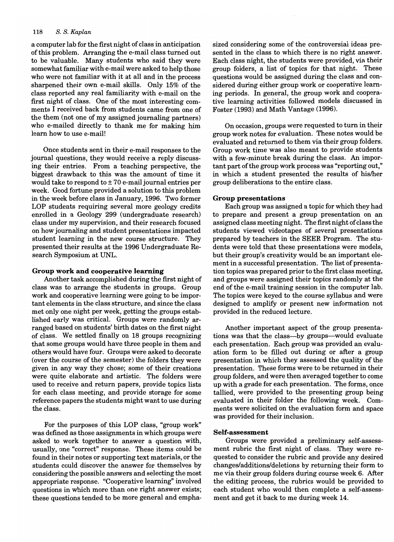a computer lab for the first night of class in anticipation of this problem. Arranging the e-mail class turned out to be valuable. Many students who said they were somewhat familiar with e-mail were asked to help those who were not familiar with it at all and in the process sharpened their own e-mail skills. Only 15% of the class reported any real familiarity with e-mail on the first night of class. One of the most interesting comments I received back from students came from one of the them (not one of my assigned journaling partners) who e-mailed directly to thank me for making him learn how to use e-mail!

Once students sent in their e-mail responses to the journal questions, they would receive a reply discussing their entries. From a teaching perspective, the biggest drawback to this was the amount of time it would take to respond to  $\pm$  70 e-mail journal entries per week. Good fortune provided a solution to this problem in the week before class in January, 1996. Two former LOP students requiring several more geology credits enrolled in a Geology 299 (undergraduate research) class under my supervision, and their research focused on how journaling and student presentations impacted student learning in the new course structure. They presented their results at the 1996 Undergraduate Research Symposium at UNL.

#### Group work and cooperative learning

Another task accomplished during the first night of class was to arrange the students in groups. Group work and cooperative learning were going to be important elements in the class structure, and since the class met only one night per week, getting the groups established early was critical. Groups were randomly arranged based on students' birth dates on the first night of class. We settled finally on 18 groups recognizing that some groups would have three people in them and others would have four. Groups were asked to decorate (over the course of the semester) the folders they were given in any way they chose; some of their creations were quite elaborate and artistic. The folders were used to receive and return papers, provide topics lists for each class meeting, and provide storage for some reference papers the students might want to use during the class.

For the purposes of this LOP class, "group work" was defined as those assignments in which groups were asked to work together to answer a question with, usually, one "correct" response. These items could be found in their notes or supporting text materials, or the students could discover the answer for themselves by considering the possible answers and selecting the most appropriate response. "Cooperative learning" involved questions in which more than one right answer exists; these questions tended to be more general and emphasized considering some of the controversial ideas presented in the class to which there is no right answer. Each class night, the students were provided, via their group folders, a list of topics for that night. These questions would be assigned during the class and considered during either group work or cooperative learning periods. In general, the group work and cooperative learning activities followed models discussed in Foster (1993) and Math Vantage (1996).

On occasion, groups were requested to tum in their group work notes for evaluation. These notes would be evaluated and returned to them via their group folders. Group work time was also meant to provide students with a few-minute break during the class. An important part of the group work process was "reporting out," in which a student presented the results of his/her group deliberations to the entire class.

#### Group presentations

Each group was assigned a topic for which they had to prepare and present a group presentation on an assigned class meeting night. The first night of class the students viewed videotapes of several presentations prepared by teachers in the SEER Program. The students were told that these presentations were models, but their group's creativity would be an important element in a successful presentation. The list of presentation topics was prepared prior to the first class meeting, and groups were assigned their topics randomly at the end of the e-mail training session in the computer lab. The topics were keyed to the course syllabus and were designed to amplify or present new information not provided in the reduced lecture.

Another important aspect of the group presentations was that the class-by groups-would evaluate each presentation. Each group was provided an evaluation form to be filled out during or after a group presentation in which they assessed the quality of the presentation. These forms were to be returned in their group folders, and were then averaged together to come up with a grade for each presentation. The forms, once tallied, were provided to the presenting group being evaluated in their folder the following week. Comments were solicited on the evaluation form and space was provided for their inclusion.

#### Self-assessment

Groups were provided a preliminary self-assessment rubric the first night of class. They were requested to consider the rubric and provide any desired changes/additions/deletions by returning their form to me via their group folders during course week 6. After the editing process, the rubrics would be provided to each student who would then complete a self-assessment and get it back to me during week 14.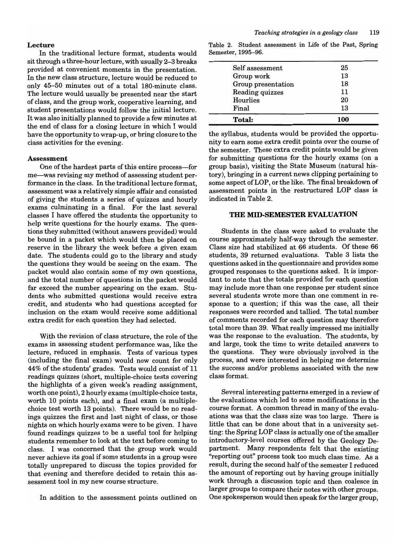#### Lecture

In the traditional lecture format, students would sit through a three-hour lecture, with usually 2-3 breaks provided at convenient moments in the presentation. In the new class structure, lecture would be reduced to only 45-50 minutes out of a total 180-minute class. The lecture would usually be presented near the start of class, and the group work, cooperative learning, and student presentations would follow the initial lecture. It was also initially planned to provide a few minutes at the end of class for a closing lecture in which I would have the opportunity to wrap-up, or bring closure to the class activities for the evening.

#### Assessment

One of the hardest parts of this entire process-for me—was revising my method of assessing student performance in the class. In the traditional lecture format, assessment was a relatively simple affair and consisted of giving the students a series of quizzes and hourly exams culminating in a final. For the last several classes I have offered the students the opportunity to help write questions for the hourly exams. The questions they submitted (without answers provided) would be bound in a packet which would then be placed on reserve in the library the week before a given exam date. The students could go to the library and study the questions they would be seeing on the exam. The packet would also contain some of my own questions, and the total number of questions in the packet would far exceed the number appearing on the exam. Students who submitted questions would receive extra credit, and students who had questions accepted for inclusion on the exam would receive some additional extra credit for each question they had selected.

With the revision of class structure, the role of the exams in assessing student performance was, like the lecture, reduced in emphasis. Tests of various types (including the final exam) would now count for only 44% of the students' grades. Tests would consist of 11 readings quizzes (short, multiple-choice tests covering the highlights of a given week's reading assignment, worth one point), 2 hourly exams (multiple-choice tests, worth 10 points each), and a final exam (a multiplechoice test worth 13 points). There would be no readings quizzes the first and last night of class, or those nights on which hourly exams were to be given. I have found readings quizzes to be a useful tool for helping students remember to look at the text before coming to class. I was concerned that the group work would never achieve its goal if some students in a group were totally unprepared to discuss the topics provided for that evening and therefore decided to retain this assessment tool in my new course structure.

In addition to the assessment points outlined on

| <b>Total:</b>      | 100 |
|--------------------|-----|
| Final              | 13  |
| Hourlies           | 20  |
| Reading quizzes    | 11  |
| Group presentation | 18  |
| Group work         | 13  |
| Self assessment    | 25  |
|                    |     |

Table 2. Student assessment in Life of the Past, Spring Semester, 1995-96.

the syllabus, students would be provided the opportunity to earn some extra credit points over the course of the semester. These extra credit points would be given for submitting questions for the hourly exams (on a group basis), visiting the State Museum (natural history), bringing in a current news clipping pertaining to some aspect of LOP, or the like. The final breakdown of assessment points in the restructured LOP class is indicated in Table 2.

#### THE MID-SEMESTER EVALUATION

Students in the class were asked to evaluate the course approximately half-way through the semester. Class size had stabilized at 66 students. Of these 66 students, 39 returned evaluations. Table 3 lists the questions asked in the questionnaire and provides some grouped responses to the questions asked. It is important to note that the totals provided for each question may include more than one response per student since several students wrote more than one comment in response to a question; if this was the case, all their responses were recorded and tallied. The total number of comments recorded for each question may therefore total more than 39. What really impressed me initially was the response to the evaluation. The students, by and large, took the time to write detailed answers to the questions. They were obviously involved in the process, and were interested in helping me determine the success and/or problems associated with the new class format.

Several interesting patterns emerged in a review of the evaluations which led to some modifications in the course format. A common thread in many of the evaluations was that the class size was too large. There is little that can be done about that in a university setting: the Spring LOP class is actually one of the smaller introductory-level courses offered by the Geology Department. Many respondents felt that the existing "reporting out" process took too much class time. As a result, during the second half of the semester I reduced the amount of reporting out by having groups initially work through a discussion topic and then coalesce in larger groups to compare their notes with other groups. One spokesperson would then speak for the larger group,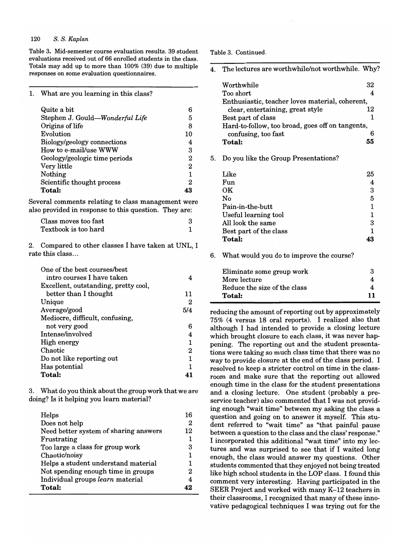Table 3. Mid-semester course evaluation results. 39 student evaluations received out of 66 enrolled students in the class. Totals may add up to more than 100% (39) due to multiple responses on some evaluation questionnaires.

1. What are you learning in this class?

| Quite a bit                     |    |
|---------------------------------|----|
| Stephen J. Gould-Wonderful Life | 5  |
| Origins of life                 | 8  |
| Evolution                       | 10 |
| Biology/geology connections     |    |
| How to e-mail/use WWW           | 3  |
| Geology/geologic time periods   | 2  |
| Very little                     | 2  |
| Nothing                         |    |
| Scientific thought process      | 2  |
| Total:                          |    |

Several comments relating to class management were also provided in response to this question. They are:

| Class moves too fast |  |
|----------------------|--|
| Textbook is too hard |  |

2. Compared to other classes I have taken at UNL, I rate this class ...

| One of the best courses/best         |     |
|--------------------------------------|-----|
| intro courses I have taken           |     |
| Excellent, outstanding, pretty cool, |     |
| better than I thought                | 11  |
| Unique                               | 2   |
| Average/good                         | 5/4 |
| Mediocre, difficult, confusing,      |     |
| not very good                        | 6   |
| Intense/involved                     | 4   |
| High energy                          |     |
| Chaotic                              | 2   |
| Do not like reporting out            | 1   |
| Has potential                        |     |
| Total:                               |     |

3. What do you think about the group work that we are doing? Is it helping you learn material?

| Helps<br>Does not help                | 16<br>2 |
|---------------------------------------|---------|
| Need better system of sharing answers | 12      |
| Frustrating                           |         |
| Too large a class for group work      | з       |
| Chaotic/noisy                         |         |
| Helps a student understand material   |         |
| Not spending enough time in groups    | 2       |
| Individual groups learn material      |         |
| Total:                                |         |

Table 3. Continued.

|  | The lectures are worthwhile/not worthwhile. Why? |  |
|--|--------------------------------------------------|--|
|  |                                                  |  |

| Worthwhile                                       | 32 |
|--------------------------------------------------|----|
| Too short                                        | 4  |
| Enthusiastic, teacher loves material, coherent,  |    |
| clear, entertaining, great style                 | 12 |
| Best part of class                               | 1  |
| Hard-to-follow, too broad, goes off on tangents, |    |
| confusing, too fast                              | 6  |
| Total:                                           | 55 |
|                                                  |    |
| Do you like the Group Presentations?             |    |
|                                                  |    |
| Like                                             | 25 |
| Fun                                              | 4  |
| OК                                               | 3  |
| No                                               | 5  |
| Pain-in-the-butt                                 | 1  |
| Useful learning tool                             | 1  |
| All look the same                                | 3  |
| Best part of the class                           | 1  |
| <b>Total:</b>                                    | 43 |
|                                                  |    |
| $\mathbf{v}$<br>11. I                            |    |

6. What would you do to improve the course?

| Eliminate some group work    | З  |
|------------------------------|----|
| More lecture                 |    |
| Reduce the size of the class |    |
| Total:                       | 11 |

reducing the amount of reporting out by approximately 75% (4 versus 18 oral reports). I realized also that although I had intended to provide a closing lecture which brought closure to each class, it was never happening. The reporting out and the student presentations were taking so much class time that there was no way to provide closure at the end of the class period. I resolved to keep a stricter control on time in the classroom and make sure that the reporting out allowed enough time in the class for the student presentations and a closing lecture. One student (probably a preservice teacher) also commented that I was not providing enough "wait time" between my asking the class a question and going on to answer it myself. This student referred to "wait time" as "that painful pause between a question to the class and the class' response." I incorporated this additional "wait time" into my lectures and was surprised to see that if I waited long enough, the class would answer my questions. Other students commented that they enjoyed not being treated like high school students in the LOP class. I found this comment very interesting. Having participated in the SEER Project and worked with many K-12 teachers in their classrooms, I recognized that many of these innovative pedagogical techniques I was trying out for the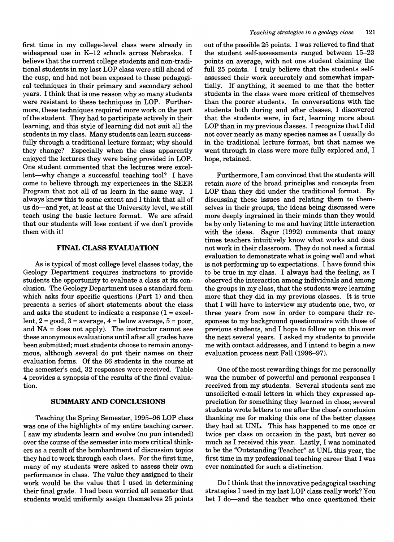first time in my college-level class were already in widespread use in K-12 schools across Nebraska. I believe that the current college students and non-traditional students in my last LOP class were still ahead of the cusp, and had not been exposed to these pedagogical techniques in their primary and secondary school years. I think that is one reason why so many students were resistant to these techniques in LOP. Furthermore, these techniques required more work on the part ofthe student. They had to participate actively in their learning, and this style of learning did not suit all the students in my class. Many students can learn successfully through a traditional lecture format; why should they change? Especially when the class apparently enjoyed the lectures they were being provided in LOP. One student commented that the lectures were excellent—why change a successful teaching tool? I have come to believe through my experiences in the SEER Program that not all of us learn in the same way. I always knew this to some extent and I think that all of us do-and yet, at least at the University level, we still teach using the basic lecture format. We are afraid that our students will lose content if we don't provide them with it!

#### FINAL CLASS EVALUATION

As is typical of most college level classes today, the Geology Department requires instructors to provide students the opportunity to evaluate a class at its conclusion. The Geology Department uses a standard form which asks four specific questions (Part 1) and then presents a series of short statements about the class and asks the student to indicate a response  $(1 = \text{excel} - \text{excel})$ lent,  $2 = \text{good}, 3 = \text{average}, 4 = \text{below average}, 5 = \text{poor},$ and NA = does not apply). The instructor cannot see these anonymous evaluations until after all grades have been submitted; most students choose to remain anonymous, although several do put their names on their evaluation forms. Of the 66 students in the course at the semester's end, 32 responses were received. Table 4 provides a synopsis of the results of the final evaluation.

#### SUMMARY AND CONCLUSIONS

Teaching the Spring Semester, 1995-96 LOP class was one of the highlights of my entire teaching career. I saw my students learn and evolve (no pun intended) over the course of the semester into more critical thinkers as a result of the bombardment of discussion topics they had to work through each class. For the first time, many of my students were asked to assess their own performance in class. The value they assigned to their work would be the value that I used in determining their final grade. I had been worried all semester that students would uniformly assign themselves 25 points out of the possible 25 points. I was relieved to find that the student self-assessments ranged between 15-23 points on average, with not one student claiming the full 25 points. I truly believe that the students selfassessed their work accurately and somewhat impartially. If anything, it seemed to me that the better students in the class were more critical of themselves than the poorer students. In conversations with the students both during and after classes, I discovered that the students were, in fact, learning more about LOP than in my previous classes. I recognize that I did not cover nearly as many species names as I usually do in the traditional lecture format, but that names we went through in class were more fully explored and, I hope, retained.

Furthermore, I am convinced that the students will retain *more* of the broad principles and concepts from LOP than they did under the traditional format. By discussing these issues and relating them to themselves in their groups, the ideas being discussed were more deeply ingrained in their minds than they would be by only listening to me and having little interaction with the ideas. Sagor (1992) comments that many times teachers intuitively know what works and does not work in their classroom. They do not need a formal evaluation to demonstrate what is going well and what is not performing up to expectations. I have found this to be true in my class. I always had the feeling, as I observed the interaction among individuals and among the groups in my class, that the students were learning more that they did in my previous classes. It is true that I will have to interview my students one, two, or three years from now in order to compare their responses to my background questionnaire with those of previous students, and I hope to follow up on this over the next several years. I asked my students to provide me with contact addresses, and I intend to begin a new evaluation process next Fall (1996-97).

One of the most rewarding things for me personally was the number of powerful and personal responses I received from my students. Several students sent me unsolicited e-mail letters in which they expressed appreciation for something they learned in class; several students wrote letters to me after the class's conclusion thanking me for making this one of the better classes they had at VNL. This has happened to me once or twice per class on occasion in the past, but never so much as I received this year. Lastly, I was nominated to be the "Outstanding Teacher" at UNL this year, the first time in my professional teaching career that I was ever nominated for such a distinction.

Do I think that the innovative pedagogical teaching strategies I used in my last LOP class really work? You bet I do—and the teacher who once questioned their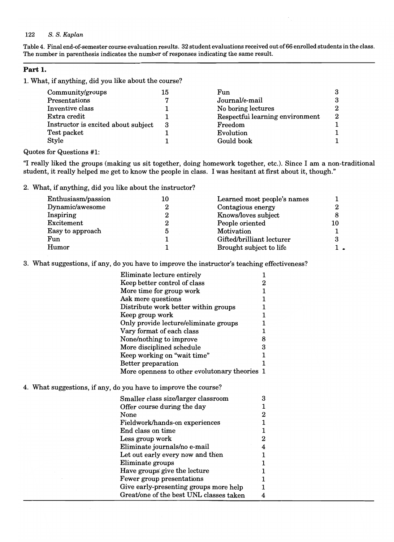Table 4. Final end-of-semester course evaluation results. 32 student evaluations received out of66 enrolled students in the class. The number in parenthesis indicates the number of responses indicating the same result.

#### **Part 1.**

1. What, if anything, did you like about the course?

Quotes for Questions #1:

4. What suggestions, if any,

"I really liked the groups (making us sit together, doing homework together, etc.). Since I am a non-traditional student, it really helped me get to know the people in class. I was hesitant at first about it, though."

2. What, if anything, did you like about the instructor?

| Enthusiasm/passion | 10 | Learned most people's names |    |
|--------------------|----|-----------------------------|----|
| Dynamic/awesome    |    | Contagious energy           |    |
| Inspiring          |    | Knows/loves subject         |    |
| Excitement         |    | People oriented             | 10 |
| Easy to approach   |    | Motivation                  |    |
| Fun                |    | Gifted/brilliant lecturer   |    |
| Humor              |    | Brought subject to life     |    |

3. What suggestions, if any, do you have to improve the instructor's teaching effectiveness?

| Eliminate lecture entirely                    | 1            |  |
|-----------------------------------------------|--------------|--|
| Keep better control of class                  | 2            |  |
| More time for group work                      | 1            |  |
| Ask more questions                            | 1            |  |
| Distribute work better within groups          | 1            |  |
| Keep group work                               | 1            |  |
| Only provide lecture/eliminate groups         | 1            |  |
| Vary format of each class                     | 1            |  |
| None/nothing to improve                       | 8            |  |
| More disciplined schedule                     | 3            |  |
| Keep working on "wait time"                   | 1            |  |
| Better preparation                            | 1            |  |
| More openness to other evolutonary theories 1 |              |  |
| do you have to improve the course?            |              |  |
| Smaller class size/larger classroom           | 3            |  |
| Offer course during the day                   | 1            |  |
| None                                          | $\mathbf 2$  |  |
| Fieldwork/hands-on experiences                | $\mathbf{1}$ |  |
| End class on time                             |              |  |
|                                               |              |  |

| r leiuwork/hands-on experiences         |   |  |
|-----------------------------------------|---|--|
| End class on time                       |   |  |
| Less group work                         | 2 |  |
| Eliminate journals/no e-mail            | 4 |  |
| Let out early every now and then        |   |  |
| Eliminate groups                        |   |  |
| Have groups give the lecture            |   |  |
| Fewer group presentations               |   |  |
| Give early-presenting groups more help  |   |  |
| Great/one of the best UNL classes taken |   |  |
|                                         |   |  |